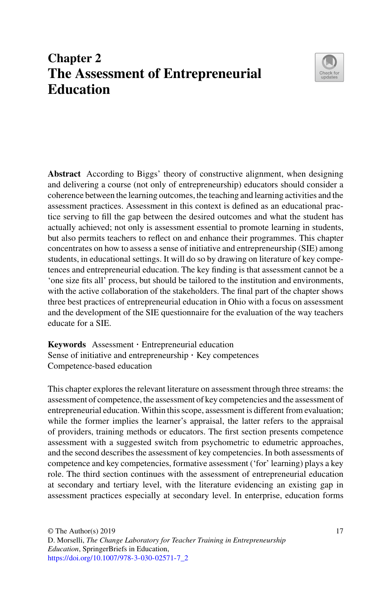# **Chapter 2 The Assessment of Entrepreneurial Education**



**Abstract** According to Biggs' theory of constructive alignment, when designing and delivering a course (not only of entrepreneurship) educators should consider a coherence between the learning outcomes, the teaching and learning activities and the assessment practices. Assessment in this context is defined as an educational practice serving to fill the gap between the desired outcomes and what the student has actually achieved; not only is assessment essential to promote learning in students, but also permits teachers to reflect on and enhance their programmes. This chapter concentrates on how to assess a sense of initiative and entrepreneurship (SIE) among students, in educational settings. It will do so by drawing on literature of key competences and entrepreneurial education. The key finding is that assessment cannot be a 'one size fits all' process, but should be tailored to the institution and environments, with the active collaboration of the stakeholders. The final part of the chapter shows three best practices of entrepreneurial education in Ohio with a focus on assessment and the development of the SIE questionnaire for the evaluation of the way teachers educate for a SIE.

**Keywords** Assessment · Entrepreneurial education Sense of initiative and entrepreneurship  $\cdot$  Key competences Competence-based education

This chapter explores the relevant literature on assessment through three streams: the assessment of competence, the assessment of key competencies and the assessment of entrepreneurial education. Within this scope, assessment is different from evaluation; while the former implies the learner's appraisal, the latter refers to the appraisal of providers, training methods or educators. The first section presents competence assessment with a suggested switch from psychometric to edumetric approaches, and the second describes the assessment of key competencies. In both assessments of competence and key competencies, formative assessment ('for' learning) plays a key role. The third section continues with the assessment of entrepreneurial education at secondary and tertiary level, with the literature evidencing an existing gap in assessment practices especially at secondary level. In enterprise, education forms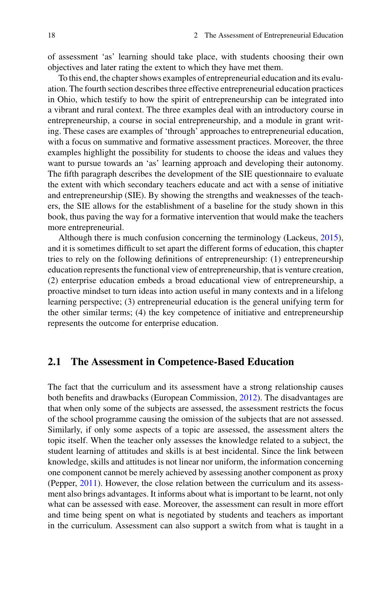of assessment 'as' learning should take place, with students choosing their own objectives and later rating the extent to which they have met them.

To this end, the chapter shows examples of entrepreneurial education and its evaluation. The fourth section describes three effective entrepreneurial education practices in Ohio, which testify to how the spirit of entrepreneurship can be integrated into a vibrant and rural context. The three examples deal with an introductory course in entrepreneurship, a course in social entrepreneurship, and a module in grant writing. These cases are examples of 'through' approaches to entrepreneurial education, with a focus on summative and formative assessment practices. Moreover, the three examples highlight the possibility for students to choose the ideas and values they want to pursue towards an 'as' learning approach and developing their autonomy. The fifth paragraph describes the development of the SIE questionnaire to evaluate the extent with which secondary teachers educate and act with a sense of initiative and entrepreneurship (SIE). By showing the strengths and weaknesses of the teachers, the SIE allows for the establishment of a baseline for the study shown in this book, thus paving the way for a formative intervention that would make the teachers more entrepreneurial.

Although there is much confusion concerning the terminology (Lackeus, [2015\)](#page-19-0), and it is sometimes difficult to set apart the different forms of education, this chapter tries to rely on the following definitions of entrepreneurship: (1) entrepreneurship education represents the functional view of entrepreneurship, that is venture creation, (2) enterprise education embeds a broad educational view of entrepreneurship, a proactive mindset to turn ideas into action useful in many contexts and in a lifelong learning perspective; (3) entrepreneurial education is the general unifying term for the other similar terms; (4) the key competence of initiative and entrepreneurship represents the outcome for enterprise education.

# **2.1 The Assessment in Competence-Based Education**

The fact that the curriculum and its assessment have a strong relationship causes both benefits and drawbacks (European Commission, [2012\)](#page-18-0). The disadvantages are that when only some of the subjects are assessed, the assessment restricts the focus of the school programme causing the omission of the subjects that are not assessed. Similarly, if only some aspects of a topic are assessed, the assessment alters the topic itself. When the teacher only assesses the knowledge related to a subject, the student learning of attitudes and skills is at best incidental. Since the link between knowledge, skills and attitudes is not linear nor uniform, the information concerning one component cannot be merely achieved by assessing another component as proxy (Pepper, [2011\)](#page-19-1). However, the close relation between the curriculum and its assessment also brings advantages. It informs about what is important to be learnt, not only what can be assessed with ease. Moreover, the assessment can result in more effort and time being spent on what is negotiated by students and teachers as important in the curriculum. Assessment can also support a switch from what is taught in a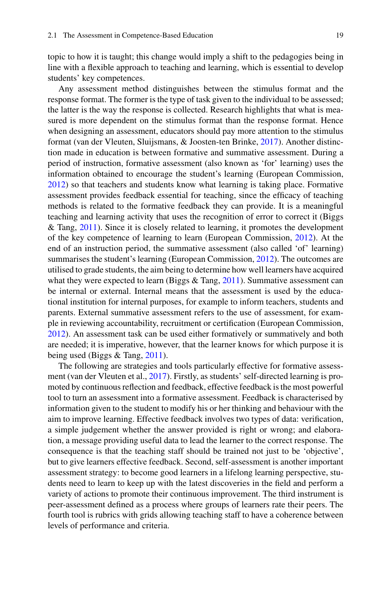topic to how it is taught; this change would imply a shift to the pedagogies being in line with a flexible approach to teaching and learning, which is essential to develop students' key competences.

Any assessment method distinguishes between the stimulus format and the response format. The former is the type of task given to the individual to be assessed; the latter is the way the response is collected. Research highlights that what is measured is more dependent on the stimulus format than the response format. Hence when designing an assessment, educators should pay more attention to the stimulus format (van der Vleuten, Sluijsmans, & Joosten-ten Brinke, [2017\)](#page-19-2). Another distinction made in education is between formative and summative assessment. During a period of instruction, formative assessment (also known as 'for' learning) uses the information obtained to encourage the student's learning (European Commission, [2012\)](#page-18-0) so that teachers and students know what learning is taking place. Formative assessment provides feedback essential for teaching, since the efficacy of teaching methods is related to the formative feedback they can provide. It is a meaningful teaching and learning activity that uses the recognition of error to correct it (Biggs & Tang, [2011\)](#page-18-1). Since it is closely related to learning, it promotes the development of the key competence of learning to learn (European Commission, [2012\)](#page-18-0). At the end of an instruction period, the summative assessment (also called 'of' learning) summarises the student's learning (European Commission, [2012\)](#page-18-0). The outcomes are utilised to grade students, the aim being to determine how well learners have acquired what they were expected to learn (Biggs  $\&$  Tang, [2011\)](#page-18-1). Summative assessment can be internal or external. Internal means that the assessment is used by the educational institution for internal purposes, for example to inform teachers, students and parents. External summative assessment refers to the use of assessment, for example in reviewing accountability, recruitment or certification (European Commission, [2012\)](#page-18-0). An assessment task can be used either formatively or summatively and both are needed; it is imperative, however, that the learner knows for which purpose it is being used (Biggs & Tang, [2011\)](#page-18-1).

The following are strategies and tools particularly effective for formative assessment (van der Vleuten et al., [2017\)](#page-19-2). Firstly, as students' self-directed learning is promoted by continuous reflection and feedback, effective feedback is the most powerful tool to turn an assessment into a formative assessment. Feedback is characterised by information given to the student to modify his or her thinking and behaviour with the aim to improve learning. Effective feedback involves two types of data: verification, a simple judgement whether the answer provided is right or wrong; and elaboration, a message providing useful data to lead the learner to the correct response. The consequence is that the teaching staff should be trained not just to be 'objective', but to give learners effective feedback. Second, self-assessment is another important assessment strategy: to become good learners in a lifelong learning perspective, students need to learn to keep up with the latest discoveries in the field and perform a variety of actions to promote their continuous improvement. The third instrument is peer-assessment defined as a process where groups of learners rate their peers. The fourth tool is rubrics with grids allowing teaching staff to have a coherence between levels of performance and criteria.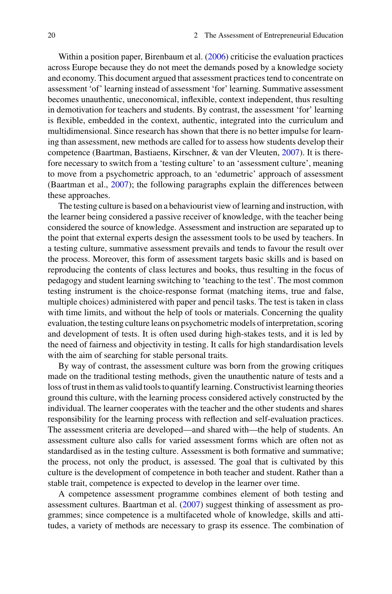Within a position paper, Birenbaum et al. [\(2006\)](#page-18-2) criticise the evaluation practices across Europe because they do not meet the demands posed by a knowledge society and economy. This document argued that assessment practices tend to concentrate on assessment 'of' learning instead of assessment 'for' learning. Summative assessment becomes unauthentic, uneconomical, inflexible, context independent, thus resulting in demotivation for teachers and students. By contrast, the assessment 'for' learning is flexible, embedded in the context, authentic, integrated into the curriculum and multidimensional. Since research has shown that there is no better impulse for learning than assessment, new methods are called for to assess how students develop their competence (Baartman, Bastiaens, Kirschner, & van der Vleuten, [2007\)](#page-18-3). It is therefore necessary to switch from a 'testing culture' to an 'assessment culture', meaning to move from a psychometric approach, to an 'edumetric' approach of assessment (Baartman et al., [2007\)](#page-18-3); the following paragraphs explain the differences between these approaches.

The testing culture is based on a behaviourist view of learning and instruction, with the learner being considered a passive receiver of knowledge, with the teacher being considered the source of knowledge. Assessment and instruction are separated up to the point that external experts design the assessment tools to be used by teachers. In a testing culture, summative assessment prevails and tends to favour the result over the process. Moreover, this form of assessment targets basic skills and is based on reproducing the contents of class lectures and books, thus resulting in the focus of pedagogy and student learning switching to 'teaching to the test'. The most common testing instrument is the choice-response format (matching items, true and false, multiple choices) administered with paper and pencil tasks. The test is taken in class with time limits, and without the help of tools or materials. Concerning the quality evaluation, the testing culture leans on psychometric models of interpretation, scoring and development of tests. It is often used during high-stakes tests, and it is led by the need of fairness and objectivity in testing. It calls for high standardisation levels with the aim of searching for stable personal traits.

By way of contrast, the assessment culture was born from the growing critiques made on the traditional testing methods, given the unauthentic nature of tests and a loss of trust in them as valid tools to quantify learning. Constructivist learning theories ground this culture, with the learning process considered actively constructed by the individual. The learner cooperates with the teacher and the other students and shares responsibility for the learning process with reflection and self-evaluation practices. The assessment criteria are developed—and shared with—the help of students. An assessment culture also calls for varied assessment forms which are often not as standardised as in the testing culture. Assessment is both formative and summative; the process, not only the product, is assessed. The goal that is cultivated by this culture is the development of competence in both teacher and student. Rather than a stable trait, competence is expected to develop in the learner over time.

A competence assessment programme combines element of both testing and assessment cultures. Baartman et al. [\(2007\)](#page-18-3) suggest thinking of assessment as programmes; since competence is a multifaceted whole of knowledge, skills and attitudes, a variety of methods are necessary to grasp its essence. The combination of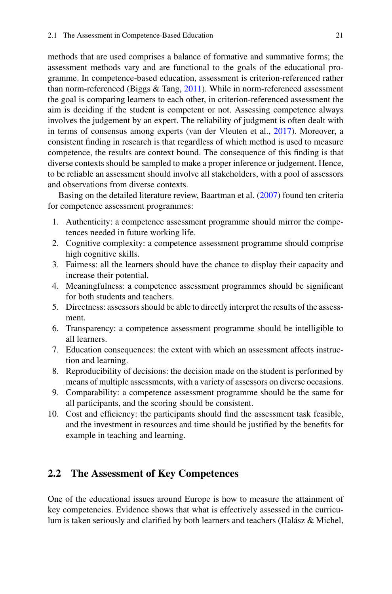methods that are used comprises a balance of formative and summative forms; the assessment methods vary and are functional to the goals of the educational programme. In competence-based education, assessment is criterion-referenced rather than norm-referenced (Biggs & Tang, [2011\)](#page-18-1). While in norm-referenced assessment the goal is comparing learners to each other, in criterion-referenced assessment the aim is deciding if the student is competent or not. Assessing competence always involves the judgement by an expert. The reliability of judgment is often dealt with in terms of consensus among experts (van der Vleuten et al., [2017\)](#page-19-2). Moreover, a consistent finding in research is that regardless of which method is used to measure competence, the results are context bound. The consequence of this finding is that diverse contexts should be sampled to make a proper inference or judgement. Hence, to be reliable an assessment should involve all stakeholders, with a pool of assessors and observations from diverse contexts.

Basing on the detailed literature review, Baartman et al. [\(2007\)](#page-18-3) found ten criteria for competence assessment programmes:

- 1. Authenticity: a competence assessment programme should mirror the competences needed in future working life.
- 2. Cognitive complexity: a competence assessment programme should comprise high cognitive skills.
- 3. Fairness: all the learners should have the chance to display their capacity and increase their potential.
- 4. Meaningfulness: a competence assessment programmes should be significant for both students and teachers.
- 5. Directness: assessors should be able to directly interpret the results of the assessment.
- 6. Transparency: a competence assessment programme should be intelligible to all learners.
- 7. Education consequences: the extent with which an assessment affects instruction and learning.
- 8. Reproducibility of decisions: the decision made on the student is performed by means of multiple assessments, with a variety of assessors on diverse occasions.
- 9. Comparability: a competence assessment programme should be the same for all participants, and the scoring should be consistent.
- 10. Cost and efficiency: the participants should find the assessment task feasible, and the investment in resources and time should be justified by the benefits for example in teaching and learning.

# **2.2 The Assessment of Key Competences**

One of the educational issues around Europe is how to measure the attainment of key competencies. Evidence shows that what is effectively assessed in the curriculum is taken seriously and clarified by both learners and teachers (Halász & Michel,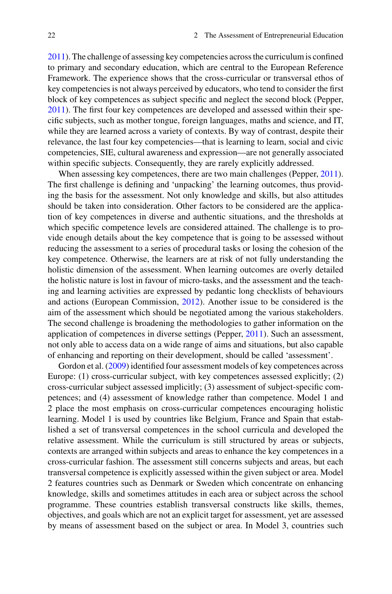[2011\)](#page-18-4). The challenge of assessing key competencies across the curriculum is confined to primary and secondary education, which are central to the European Reference Framework. The experience shows that the cross-curricular or transversal ethos of key competencies is not always perceived by educators, who tend to consider the first block of key competences as subject specific and neglect the second block (Pepper, [2011\)](#page-19-1). The first four key competences are developed and assessed within their specific subjects, such as mother tongue, foreign languages, maths and science, and IT, while they are learned across a variety of contexts. By way of contrast, despite their relevance, the last four key competencies—that is learning to learn, social and civic competencies, SIE, cultural awareness and expression—are not generally associated within specific subjects. Consequently, they are rarely explicitly addressed.

When assessing key competences, there are two main challenges (Pepper, [2011\)](#page-19-1). The first challenge is defining and 'unpacking' the learning outcomes, thus providing the basis for the assessment. Not only knowledge and skills, but also attitudes should be taken into consideration. Other factors to be considered are the application of key competences in diverse and authentic situations, and the thresholds at which specific competence levels are considered attained. The challenge is to provide enough details about the key competence that is going to be assessed without reducing the assessment to a series of procedural tasks or losing the cohesion of the key competence. Otherwise, the learners are at risk of not fully understanding the holistic dimension of the assessment. When learning outcomes are overly detailed the holistic nature is lost in favour of micro-tasks, and the assessment and the teaching and learning activities are expressed by pedantic long checklists of behaviours and actions (European Commission, [2012\)](#page-18-0). Another issue to be considered is the aim of the assessment which should be negotiated among the various stakeholders. The second challenge is broadening the methodologies to gather information on the application of competences in diverse settings (Pepper, [2011\)](#page-19-1). Such an assessment, not only able to access data on a wide range of aims and situations, but also capable of enhancing and reporting on their development, should be called 'assessment'.

Gordon et al. [\(2009\)](#page-18-5) identified four assessment models of key competences across Europe: (1) cross-curricular subject, with key competences assessed explicitly; (2) cross-curricular subject assessed implicitly; (3) assessment of subject-specific competences; and (4) assessment of knowledge rather than competence. Model 1 and 2 place the most emphasis on cross-curricular competences encouraging holistic learning. Model 1 is used by countries like Belgium, France and Spain that established a set of transversal competences in the school curricula and developed the relative assessment. While the curriculum is still structured by areas or subjects, contexts are arranged within subjects and areas to enhance the key competences in a cross-curricular fashion. The assessment still concerns subjects and areas, but each transversal competence is explicitly assessed within the given subject or area. Model 2 features countries such as Denmark or Sweden which concentrate on enhancing knowledge, skills and sometimes attitudes in each area or subject across the school programme. These countries establish transversal constructs like skills, themes, objectives, and goals which are not an explicit target for assessment, yet are assessed by means of assessment based on the subject or area. In Model 3, countries such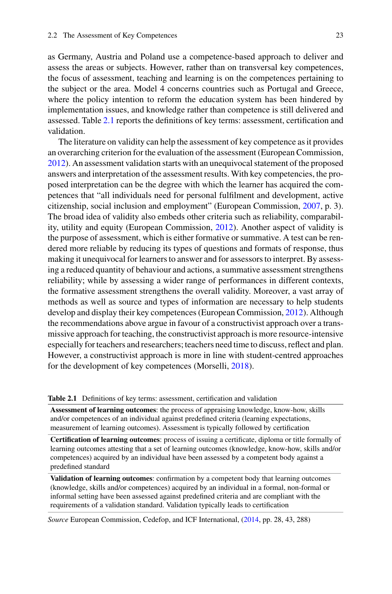as Germany, Austria and Poland use a competence-based approach to deliver and assess the areas or subjects. However, rather than on transversal key competences, the focus of assessment, teaching and learning is on the competences pertaining to the subject or the area. Model 4 concerns countries such as Portugal and Greece, where the policy intention to reform the education system has been hindered by implementation issues, and knowledge rather than competence is still delivered and assessed. Table [2.1](#page-6-0) reports the definitions of key terms: assessment, certification and validation.

The literature on validity can help the assessment of key competence as it provides an overarching criterion for the evaluation of the assessment (European Commission, [2012\)](#page-18-0). An assessment validation starts with an unequivocal statement of the proposed answers and interpretation of the assessment results. With key competencies, the proposed interpretation can be the degree with which the learner has acquired the competences that "all individuals need for personal fulfilment and development, active citizenship, social inclusion and employment" (European Commission, [2007,](#page-18-6) p. 3). The broad idea of validity also embeds other criteria such as reliability, comparability, utility and equity (European Commission, [2012\)](#page-18-0). Another aspect of validity is the purpose of assessment, which is either formative or summative. A test can be rendered more reliable by reducing its types of questions and formats of response, thus making it unequivocal for learners to answer and for assessors to interpret. By assessing a reduced quantity of behaviour and actions, a summative assessment strengthens reliability; while by assessing a wider range of performances in different contexts, the formative assessment strengthens the overall validity. Moreover, a vast array of methods as well as source and types of information are necessary to help students develop and display their key competences (European Commission, [2012\)](#page-18-0). Although the recommendations above argue in favour of a constructivist approach over a transmissive approach for teaching, the constructivist approach is more resource-intensive especially for teachers and researchers; teachers need time to discuss, reflect and plan. However, a constructivist approach is more in line with student-centred approaches for the development of key competences (Morselli, [2018\)](#page-19-3).

**Table 2.1** Definitions of key terms: assessment, certification and validation

<span id="page-6-0"></span>**Assessment of learning outcomes**: the process of appraising knowledge, know-how, skills and/or competences of an individual against predefined criteria (learning expectations, measurement of learning outcomes). Assessment is typically followed by certification

**Certification of learning outcomes**: process of issuing a certificate, diploma or title formally of learning outcomes attesting that a set of learning outcomes (knowledge, know-how, skills and/or competences) acquired by an individual have been assessed by a competent body against a predefined standard

**Validation of learning outcomes**: confirmation by a competent body that learning outcomes (knowledge, skills and/or competences) acquired by an individual in a formal, non-formal or informal setting have been assessed against predefined criteria and are compliant with the requirements of a validation standard. Validation typically leads to certification

*Source* European Commission, Cedefop, and ICF International, [\(2014,](#page-18-7) pp. 28, 43, 288)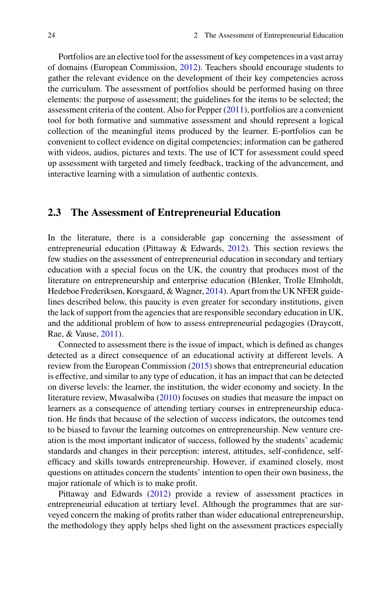Portfolios are an elective tool for the assessment of key competences in a vast array of domains (European Commission, [2012\)](#page-18-0). Teachers should encourage students to gather the relevant evidence on the development of their key competencies across the curriculum. The assessment of portfolios should be performed basing on three elements: the purpose of assessment; the guidelines for the items to be selected; the assessment criteria of the content. Also for Pepper [\(2011\)](#page-19-1), portfolios are a convenient tool for both formative and summative assessment and should represent a logical collection of the meaningful items produced by the learner. E-portfolios can be convenient to collect evidence on digital competencies; information can be gathered with videos, audios, pictures and texts. The use of ICT for assessment could speed up assessment with targeted and timely feedback, tracking of the advancement, and interactive learning with a simulation of authentic contexts.

# **2.3 The Assessment of Entrepreneurial Education**

In the literature, there is a considerable gap concerning the assessment of entrepreneurial education (Pittaway & Edwards,  $2012$ ). This section reviews the few studies on the assessment of entrepreneurial education in secondary and tertiary education with a special focus on the UK, the country that produces most of the literature on entrepreneurship and enterprise education (Blenker, Trolle Elmholdt, Hedeboe Frederiksen, Korsgaard, & Wagner, [2014\)](#page-18-8). Apart from the UK NFER guidelines described below, this paucity is even greater for secondary institutions, given the lack of support from the agencies that are responsible secondary education in UK, and the additional problem of how to assess entrepreneurial pedagogies (Draycott, Rae, & Vause, [2011\)](#page-18-9).

Connected to assessment there is the issue of impact, which is defined as changes detected as a direct consequence of an educational activity at different levels. A review from the European Commission [\(2015\)](#page-18-10) shows that entrepreneurial education is effective, and similar to any type of education, it has an impact that can be detected on diverse levels: the learner, the institution, the wider economy and society. In the literature review, Mwasalwiba [\(2010\)](#page-19-5) focuses on studies that measure the impact on learners as a consequence of attending tertiary courses in entrepreneurship education. He finds that because of the selection of success indicators, the outcomes tend to be biased to favour the learning outcomes on entrepreneurship. New venture creation is the most important indicator of success, followed by the students' academic standards and changes in their perception: interest, attitudes, self-confidence, selfefficacy and skills towards entrepreneurship. However, if examined closely, most questions on attitudes concern the students' intention to open their own business, the major rationale of which is to make profit.

Pittaway and Edwards [\(2012\)](#page-19-4) provide a review of assessment practices in entrepreneurial education at tertiary level. Although the programmes that are surveyed concern the making of profits rather than wider educational entrepreneurship, the methodology they apply helps shed light on the assessment practices especially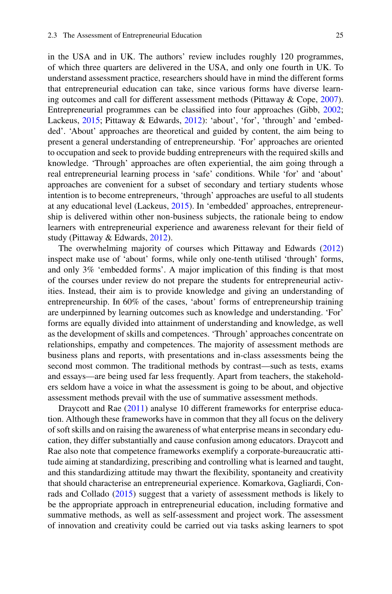in the USA and in UK. The authors' review includes roughly 120 programmes, of which three quarters are delivered in the USA, and only one fourth in UK. To understand assessment practice, researchers should have in mind the different forms that entrepreneurial education can take, since various forms have diverse learning outcomes and call for different assessment methods (Pittaway & Cope, [2007\)](#page-19-6). Entrepreneurial programmes can be classified into four approaches (Gibb, [2002;](#page-18-11) Lackeus, [2015;](#page-19-0) Pittaway & Edwards, [2012\)](#page-19-4): 'about', 'for', 'through' and 'embedded'. 'About' approaches are theoretical and guided by content, the aim being to present a general understanding of entrepreneurship. 'For' approaches are oriented to occupation and seek to provide budding entrepreneurs with the required skills and knowledge. 'Through' approaches are often experiential, the aim going through a real entrepreneurial learning process in 'safe' conditions. While 'for' and 'about' approaches are convenient for a subset of secondary and tertiary students whose intention is to become entrepreneurs, 'through' approaches are useful to all students at any educational level (Lackeus, [2015\)](#page-19-0). In 'embedded' approaches, entrepreneurship is delivered within other non-business subjects, the rationale being to endow learners with entrepreneurial experience and awareness relevant for their field of study (Pittaway & Edwards, [2012\)](#page-19-4).

The overwhelming majority of courses which Pittaway and Edwards [\(2012\)](#page-19-4) inspect make use of 'about' forms, while only one-tenth utilised 'through' forms, and only 3% 'embedded forms'. A major implication of this finding is that most of the courses under review do not prepare the students for entrepreneurial activities. Instead, their aim is to provide knowledge and giving an understanding of entrepreneurship. In 60% of the cases, 'about' forms of entrepreneurship training are underpinned by learning outcomes such as knowledge and understanding. 'For' forms are equally divided into attainment of understanding and knowledge, as well as the development of skills and competences. 'Through' approaches concentrate on relationships, empathy and competences. The majority of assessment methods are business plans and reports, with presentations and in-class assessments being the second most common. The traditional methods by contrast—such as tests, exams and essays—are being used far less frequently. Apart from teachers, the stakeholders seldom have a voice in what the assessment is going to be about, and objective assessment methods prevail with the use of summative assessment methods.

Draycott and Rae [\(2011\)](#page-18-12) analyse 10 different frameworks for enterprise education. Although these frameworks have in common that they all focus on the delivery of soft skills and on raising the awareness of what enterprise means in secondary education, they differ substantially and cause confusion among educators. Draycott and Rae also note that competence frameworks exemplify a corporate-bureaucratic attitude aiming at standardizing, prescribing and controlling what is learned and taught, and this standardizing attitude may thwart the flexibility, spontaneity and creativity that should characterise an entrepreneurial experience. Komarkova, Gagliardi, Conrads and Collado [\(2015\)](#page-19-7) suggest that a variety of assessment methods is likely to be the appropriate approach in entrepreneurial education, including formative and summative methods, as well as self-assessment and project work. The assessment of innovation and creativity could be carried out via tasks asking learners to spot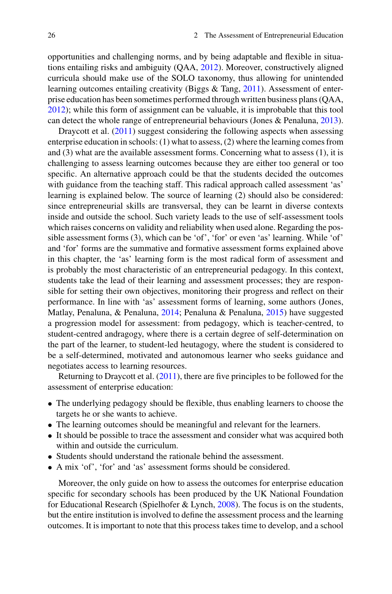opportunities and challenging norms, and by being adaptable and flexible in situations entailing risks and ambiguity (QAA, [2012\)](#page-19-8). Moreover, constructively aligned curricula should make use of the SOLO taxonomy, thus allowing for unintended learning outcomes entailing creativity (Biggs & Tang, [2011\)](#page-18-1). Assessment of enterprise education has been sometimes performed through written business plans (QAA, [2012\)](#page-19-8); while this form of assignment can be valuable, it is improbable that this tool can detect the whole range of entrepreneurial behaviours (Jones & Penaluna, [2013\)](#page-18-13).

Draycott et al. [\(2011\)](#page-18-9) suggest considering the following aspects when assessing enterprise education in schools: (1) what to assess, (2) where the learning comes from and (3) what are the available assessment forms. Concerning what to assess (1), it is challenging to assess learning outcomes because they are either too general or too specific. An alternative approach could be that the students decided the outcomes with guidance from the teaching staff. This radical approach called assessment 'as' learning is explained below. The source of learning (2) should also be considered: since entrepreneurial skills are transversal, they can be learnt in diverse contexts inside and outside the school. Such variety leads to the use of self-assessment tools which raises concerns on validity and reliability when used alone. Regarding the possible assessment forms (3), which can be 'of', 'for' or even 'as' learning. While 'of' and 'for' forms are the summative and formative assessment forms explained above in this chapter, the 'as' learning form is the most radical form of assessment and is probably the most characteristic of an entrepreneurial pedagogy. In this context, students take the lead of their learning and assessment processes; they are responsible for setting their own objectives, monitoring their progress and reflect on their performance. In line with 'as' assessment forms of learning, some authors (Jones, Matlay, Penaluna, & Penaluna, [2014;](#page-18-14) Penaluna & Penaluna, [2015\)](#page-19-9) have suggested a progression model for assessment: from pedagogy, which is teacher-centred, to student-centred andragogy, where there is a certain degree of self-determination on the part of the learner, to student-led heutagogy, where the student is considered to be a self-determined, motivated and autonomous learner who seeks guidance and negotiates access to learning resources.

Returning to Draycott et al. [\(2011\)](#page-18-9), there are five principles to be followed for the assessment of enterprise education:

- The underlying pedagogy should be flexible, thus enabling learners to choose the targets he or she wants to achieve.
- The learning outcomes should be meaningful and relevant for the learners.
- It should be possible to trace the assessment and consider what was acquired both within and outside the curriculum.
- Students should understand the rationale behind the assessment.
- A mix 'of', 'for' and 'as' assessment forms should be considered.

Moreover, the only guide on how to assess the outcomes for enterprise education specific for secondary schools has been produced by the UK National Foundation for Educational Research (Spielhofer & Lynch, [2008\)](#page-19-10). The focus is on the students, but the entire institution is involved to define the assessment process and the learning outcomes. It is important to note that this process takes time to develop, and a school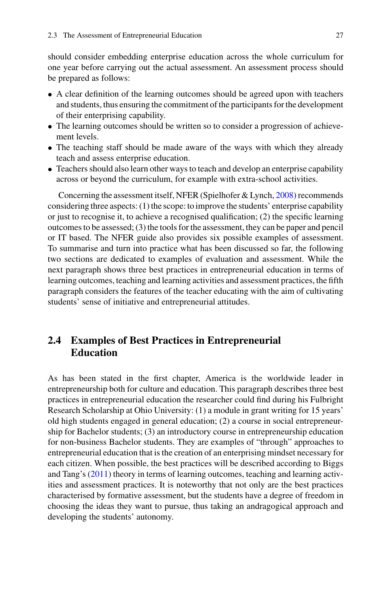should consider embedding enterprise education across the whole curriculum for one year before carrying out the actual assessment. An assessment process should be prepared as follows:

- A clear definition of the learning outcomes should be agreed upon with teachers and students, thus ensuring the commitment of the participants for the development of their enterprising capability.
- The learning outcomes should be written so to consider a progression of achievement levels.
- The teaching staff should be made aware of the ways with which they already teach and assess enterprise education.
- Teachers should also learn other ways to teach and develop an enterprise capability across or beyond the curriculum, for example with extra-school activities.

Concerning the assessment itself, NFER (Spielhofer & Lynch, [2008\)](#page-19-10) recommends considering three aspects: (1) the scope: to improve the students' enterprise capability or just to recognise it, to achieve a recognised qualification; (2) the specific learning outcomes to be assessed; (3) the tools for the assessment, they can be paper and pencil or IT based. The NFER guide also provides six possible examples of assessment. To summarise and turn into practice what has been discussed so far, the following two sections are dedicated to examples of evaluation and assessment. While the next paragraph shows three best practices in entrepreneurial education in terms of learning outcomes, teaching and learning activities and assessment practices, the fifth paragraph considers the features of the teacher educating with the aim of cultivating students' sense of initiative and entrepreneurial attitudes.

# **2.4 Examples of Best Practices in Entrepreneurial Education**

As has been stated in the first chapter, America is the worldwide leader in entrepreneurship both for culture and education. This paragraph describes three best practices in entrepreneurial education the researcher could find during his Fulbright Research Scholarship at Ohio University: (1) a module in grant writing for 15 years' old high students engaged in general education; (2) a course in social entrepreneurship for Bachelor students; (3) an introductory course in entrepreneurship education for non-business Bachelor students. They are examples of "through" approaches to entrepreneurial education that is the creation of an enterprising mindset necessary for each citizen. When possible, the best practices will be described according to Biggs and Tang's [\(2011\)](#page-18-1) theory in terms of learning outcomes, teaching and learning activities and assessment practices. It is noteworthy that not only are the best practices characterised by formative assessment, but the students have a degree of freedom in choosing the ideas they want to pursue, thus taking an andragogical approach and developing the students' autonomy.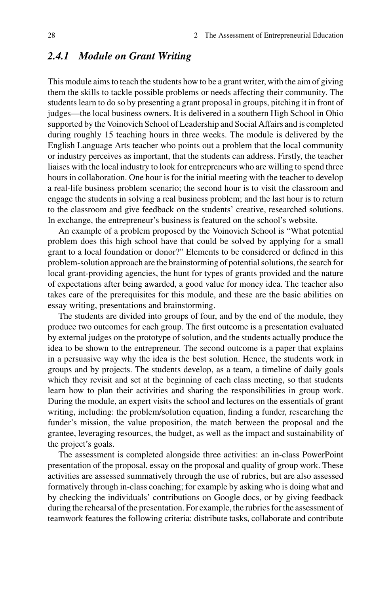# *2.4.1 Module on Grant Writing*

This module aims to teach the students how to be a grant writer, with the aim of giving them the skills to tackle possible problems or needs affecting their community. The students learn to do so by presenting a grant proposal in groups, pitching it in front of judges—the local business owners. It is delivered in a southern High School in Ohio supported by the Voinovich School of Leadership and Social Affairs and is completed during roughly 15 teaching hours in three weeks. The module is delivered by the English Language Arts teacher who points out a problem that the local community or industry perceives as important, that the students can address. Firstly, the teacher liaises with the local industry to look for entrepreneurs who are willing to spend three hours in collaboration. One hour is for the initial meeting with the teacher to develop a real-life business problem scenario; the second hour is to visit the classroom and engage the students in solving a real business problem; and the last hour is to return to the classroom and give feedback on the students' creative, researched solutions. In exchange, the entrepreneur's business is featured on the school's website.

An example of a problem proposed by the Voinovich School is "What potential problem does this high school have that could be solved by applying for a small grant to a local foundation or donor?" Elements to be considered or defined in this problem-solution approach are the brainstorming of potential solutions, the search for local grant-providing agencies, the hunt for types of grants provided and the nature of expectations after being awarded, a good value for money idea. The teacher also takes care of the prerequisites for this module, and these are the basic abilities on essay writing, presentations and brainstorming.

The students are divided into groups of four, and by the end of the module, they produce two outcomes for each group. The first outcome is a presentation evaluated by external judges on the prototype of solution, and the students actually produce the idea to be shown to the entrepreneur. The second outcome is a paper that explains in a persuasive way why the idea is the best solution. Hence, the students work in groups and by projects. The students develop, as a team, a timeline of daily goals which they revisit and set at the beginning of each class meeting, so that students learn how to plan their activities and sharing the responsibilities in group work. During the module, an expert visits the school and lectures on the essentials of grant writing, including: the problem/solution equation, finding a funder, researching the funder's mission, the value proposition, the match between the proposal and the grantee, leveraging resources, the budget, as well as the impact and sustainability of the project's goals.

The assessment is completed alongside three activities: an in-class PowerPoint presentation of the proposal, essay on the proposal and quality of group work. These activities are assessed summatively through the use of rubrics, but are also assessed formatively through in-class coaching; for example by asking who is doing what and by checking the individuals' contributions on Google docs, or by giving feedback during the rehearsal of the presentation. For example, the rubrics for the assessment of teamwork features the following criteria: distribute tasks, collaborate and contribute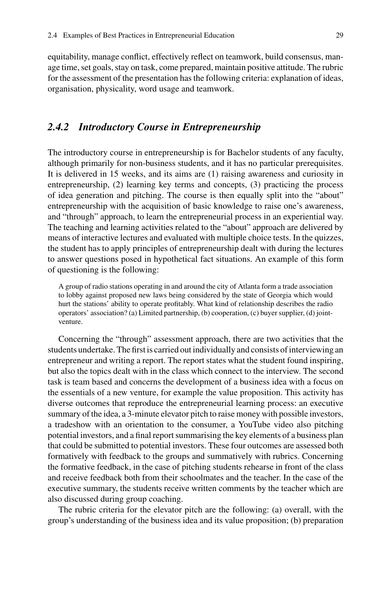equitability, manage conflict, effectively reflect on teamwork, build consensus, manage time, set goals, stay on task, come prepared, maintain positive attitude. The rubric for the assessment of the presentation has the following criteria: explanation of ideas, organisation, physicality, word usage and teamwork.

## *2.4.2 Introductory Course in Entrepreneurship*

The introductory course in entrepreneurship is for Bachelor students of any faculty, although primarily for non-business students, and it has no particular prerequisites. It is delivered in 15 weeks, and its aims are (1) raising awareness and curiosity in entrepreneurship, (2) learning key terms and concepts, (3) practicing the process of idea generation and pitching. The course is then equally split into the "about" entrepreneurship with the acquisition of basic knowledge to raise one's awareness, and "through" approach, to learn the entrepreneurial process in an experiential way. The teaching and learning activities related to the "about" approach are delivered by means of interactive lectures and evaluated with multiple choice tests. In the quizzes, the student has to apply principles of entrepreneurship dealt with during the lectures to answer questions posed in hypothetical fact situations. An example of this form of questioning is the following:

A group of radio stations operating in and around the city of Atlanta form a trade association to lobby against proposed new laws being considered by the state of Georgia which would hurt the stations' ability to operate profitably. What kind of relationship describes the radio operators' association? (a) Limited partnership, (b) cooperation, (c) buyer supplier, (d) jointventure.

Concerning the "through" assessment approach, there are two activities that the students undertake. The first is carried out individually and consists of interviewing an entrepreneur and writing a report. The report states what the student found inspiring, but also the topics dealt with in the class which connect to the interview. The second task is team based and concerns the development of a business idea with a focus on the essentials of a new venture, for example the value proposition. This activity has diverse outcomes that reproduce the entrepreneurial learning process: an executive summary of the idea, a 3-minute elevator pitch to raise money with possible investors, a tradeshow with an orientation to the consumer, a YouTube video also pitching potential investors, and a final report summarising the key elements of a business plan that could be submitted to potential investors. These four outcomes are assessed both formatively with feedback to the groups and summatively with rubrics. Concerning the formative feedback, in the case of pitching students rehearse in front of the class and receive feedback both from their schoolmates and the teacher. In the case of the executive summary, the students receive written comments by the teacher which are also discussed during group coaching.

The rubric criteria for the elevator pitch are the following: (a) overall, with the group's understanding of the business idea and its value proposition; (b) preparation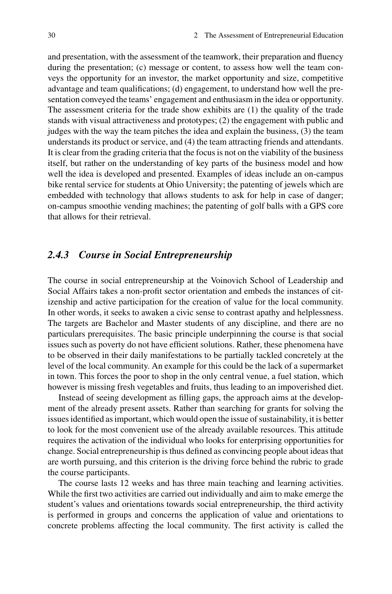and presentation, with the assessment of the teamwork, their preparation and fluency during the presentation; (c) message or content, to assess how well the team conveys the opportunity for an investor, the market opportunity and size, competitive advantage and team qualifications; (d) engagement, to understand how well the presentation conveyed the teams' engagement and enthusiasm in the idea or opportunity. The assessment criteria for the trade show exhibits are (1) the quality of the trade stands with visual attractiveness and prototypes; (2) the engagement with public and judges with the way the team pitches the idea and explain the business, (3) the team understands its product or service, and (4) the team attracting friends and attendants. It is clear from the grading criteria that the focus is not on the viability of the business itself, but rather on the understanding of key parts of the business model and how well the idea is developed and presented. Examples of ideas include an on-campus bike rental service for students at Ohio University; the patenting of jewels which are embedded with technology that allows students to ask for help in case of danger; on-campus smoothie vending machines; the patenting of golf balls with a GPS core that allows for their retrieval.

## *2.4.3 Course in Social Entrepreneurship*

The course in social entrepreneurship at the Voinovich School of Leadership and Social Affairs takes a non-profit sector orientation and embeds the instances of citizenship and active participation for the creation of value for the local community. In other words, it seeks to awaken a civic sense to contrast apathy and helplessness. The targets are Bachelor and Master students of any discipline, and there are no particulars prerequisites. The basic principle underpinning the course is that social issues such as poverty do not have efficient solutions. Rather, these phenomena have to be observed in their daily manifestations to be partially tackled concretely at the level of the local community. An example for this could be the lack of a supermarket in town. This forces the poor to shop in the only central venue, a fuel station, which however is missing fresh vegetables and fruits, thus leading to an impoverished diet.

Instead of seeing development as filling gaps, the approach aims at the development of the already present assets. Rather than searching for grants for solving the issues identified as important, which would open the issue of sustainability, it is better to look for the most convenient use of the already available resources. This attitude requires the activation of the individual who looks for enterprising opportunities for change. Social entrepreneurship is thus defined as convincing people about ideas that are worth pursuing, and this criterion is the driving force behind the rubric to grade the course participants.

The course lasts 12 weeks and has three main teaching and learning activities. While the first two activities are carried out individually and aim to make emerge the student's values and orientations towards social entrepreneurship, the third activity is performed in groups and concerns the application of value and orientations to concrete problems affecting the local community. The first activity is called the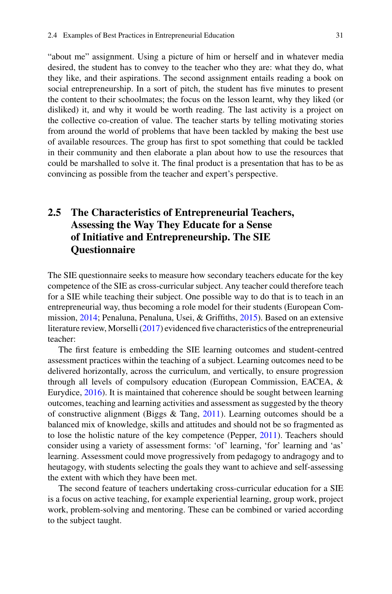"about me" assignment. Using a picture of him or herself and in whatever media desired, the student has to convey to the teacher who they are: what they do, what they like, and their aspirations. The second assignment entails reading a book on social entrepreneurship. In a sort of pitch, the student has five minutes to present the content to their schoolmates; the focus on the lesson learnt, why they liked (or disliked) it, and why it would be worth reading. The last activity is a project on the collective co-creation of value. The teacher starts by telling motivating stories from around the world of problems that have been tackled by making the best use of available resources. The group has first to spot something that could be tackled in their community and then elaborate a plan about how to use the resources that could be marshalled to solve it. The final product is a presentation that has to be as convincing as possible from the teacher and expert's perspective.

# **2.5 The Characteristics of Entrepreneurial Teachers, Assessing the Way They Educate for a Sense of Initiative and Entrepreneurship. The SIE Questionnaire**

The SIE questionnaire seeks to measure how secondary teachers educate for the key competence of the SIE as cross-curricular subject. Any teacher could therefore teach for a SIE while teaching their subject. One possible way to do that is to teach in an entrepreneurial way, thus becoming a role model for their students (European Commission, [2014;](#page-18-15) Penaluna, Penaluna, Usei, & Griffiths, [2015\)](#page-19-11). Based on an extensive literature review, Morselli [\(2017\)](#page-19-12) evidenced five characteristics of the entrepreneurial teacher:

The first feature is embedding the SIE learning outcomes and student-centred assessment practices within the teaching of a subject. Learning outcomes need to be delivered horizontally, across the curriculum, and vertically, to ensure progression through all levels of compulsory education (European Commission, EACEA, & Eurydice, [2016\)](#page-18-16). It is maintained that coherence should be sought between learning outcomes, teaching and learning activities and assessment as suggested by the theory of constructive alignment (Biggs & Tang, [2011\)](#page-18-1). Learning outcomes should be a balanced mix of knowledge, skills and attitudes and should not be so fragmented as to lose the holistic nature of the key competence (Pepper, [2011\)](#page-19-1). Teachers should consider using a variety of assessment forms: 'of' learning, 'for' learning and 'as' learning. Assessment could move progressively from pedagogy to andragogy and to heutagogy, with students selecting the goals they want to achieve and self-assessing the extent with which they have been met.

The second feature of teachers undertaking cross-curricular education for a SIE is a focus on active teaching, for example experiential learning, group work, project work, problem-solving and mentoring. These can be combined or varied according to the subject taught.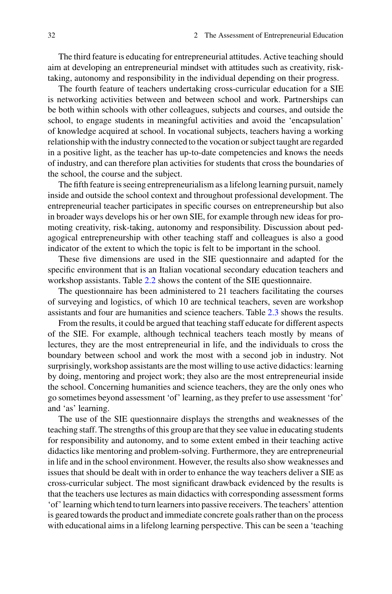The third feature is educating for entrepreneurial attitudes. Active teaching should aim at developing an entrepreneurial mindset with attitudes such as creativity, risktaking, autonomy and responsibility in the individual depending on their progress.

The fourth feature of teachers undertaking cross-curricular education for a SIE is networking activities between and between school and work. Partnerships can be both within schools with other colleagues, subjects and courses, and outside the school, to engage students in meaningful activities and avoid the 'encapsulation' of knowledge acquired at school. In vocational subjects, teachers having a working relationship with the industry connected to the vocation or subject taught are regarded in a positive light, as the teacher has up-to-date competencies and knows the needs of industry, and can therefore plan activities for students that cross the boundaries of the school, the course and the subject.

The fifth feature is seeing entrepreneurialism as a lifelong learning pursuit, namely inside and outside the school context and throughout professional development. The entrepreneurial teacher participates in specific courses on entrepreneurship but also in broader ways develops his or her own SIE, for example through new ideas for promoting creativity, risk-taking, autonomy and responsibility. Discussion about pedagogical entrepreneurship with other teaching staff and colleagues is also a good indicator of the extent to which the topic is felt to be important in the school.

These five dimensions are used in the SIE questionnaire and adapted for the specific environment that is an Italian vocational secondary education teachers and workshop assistants. Table [2.2](#page-16-0) shows the content of the SIE questionnaire.

The questionnaire has been administered to 21 teachers facilitating the courses of surveying and logistics, of which 10 are technical teachers, seven are workshop assistants and four are humanities and science teachers. Table [2.3](#page-17-0) shows the results.

From the results, it could be argued that teaching staff educate for different aspects of the SIE. For example, although technical teachers teach mostly by means of lectures, they are the most entrepreneurial in life, and the individuals to cross the boundary between school and work the most with a second job in industry. Not surprisingly, workshop assistants are the most willing to use active didactics: learning by doing, mentoring and project work; they also are the most entrepreneurial inside the school. Concerning humanities and science teachers, they are the only ones who go sometimes beyond assessment 'of' learning, as they prefer to use assessment 'for' and 'as' learning.

The use of the SIE questionnaire displays the strengths and weaknesses of the teaching staff. The strengths of this group are that they see value in educating students for responsibility and autonomy, and to some extent embed in their teaching active didactics like mentoring and problem-solving. Furthermore, they are entrepreneurial in life and in the school environment. However, the results also show weaknesses and issues that should be dealt with in order to enhance the way teachers deliver a SIE as cross-curricular subject. The most significant drawback evidenced by the results is that the teachers use lectures as main didactics with corresponding assessment forms 'of' learning which tend to turn learners into passive receivers. The teachers' attention is geared towards the product and immediate concrete goals rather than on the process with educational aims in a lifelong learning perspective. This can be seen a 'teaching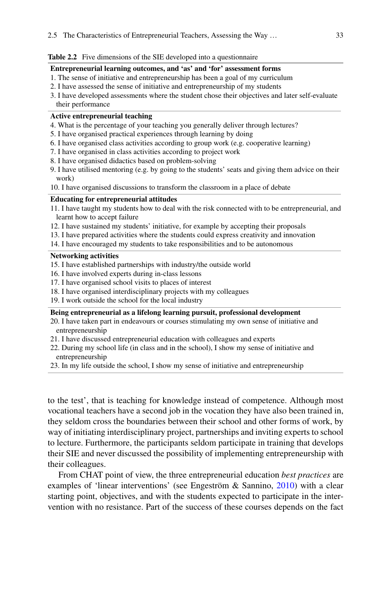### **Table 2.2** Five dimensions of the SIE developed into a questionnaire

### <span id="page-16-0"></span>**Entrepreneurial learning outcomes, and 'as' and 'for' assessment forms**

- 1. The sense of initiative and entrepreneurship has been a goal of my curriculum
- 2. I have assessed the sense of initiative and entrepreneurship of my students
- 3. I have developed assessments where the student chose their objectives and later self-evaluate their performance

### **Active entrepreneurial teaching**

- 4. What is the percentage of your teaching you generally deliver through lectures?
- 5. I have organised practical experiences through learning by doing
- 6. I have organised class activities according to group work (e.g. cooperative learning)
- 7. I have organised in class activities according to project work
- 8. I have organised didactics based on problem-solving
- 9. I have utilised mentoring (e.g. by going to the students' seats and giving them advice on their work)

10. I have organised discussions to transform the classroom in a place of debate

### **Educating for entrepreneurial attitudes**

- 11. I have taught my students how to deal with the risk connected with to be entrepreneurial, and learnt how to accept failure
- 12. I have sustained my students' initiative, for example by accepting their proposals
- 13. I have prepared activities where the students could express creativity and innovation
- 14. I have encouraged my students to take responsibilities and to be autonomous

### **Networking activities**

- 15. I have established partnerships with industry/the outside world
- 16. I have involved experts during in-class lessons
- 17. I have organised school visits to places of interest
- 18. I have organised interdisciplinary projects with my colleagues
- 19. I work outside the school for the local industry

#### **Being entrepreneurial as a lifelong learning pursuit, professional development**

- 20. I have taken part in endeavours or courses stimulating my own sense of initiative and entrepreneurship
- 21. I have discussed entrepreneurial education with colleagues and experts
- 22. During my school life (in class and in the school), I show my sense of initiative and entrepreneurship
- 23. In my life outside the school, I show my sense of initiative and entrepreneurship

to the test', that is teaching for knowledge instead of competence. Although most vocational teachers have a second job in the vocation they have also been trained in, they seldom cross the boundaries between their school and other forms of work, by way of initiating interdisciplinary project, partnerships and inviting experts to school to lecture. Furthermore, the participants seldom participate in training that develops their SIE and never discussed the possibility of implementing entrepreneurship with their colleagues.

From CHAT point of view, the three entrepreneurial education *best practices* are examples of 'linear interventions' (see Engeström & Sannino, [2010\)](#page-18-17) with a clear starting point, objectives, and with the students expected to participate in the intervention with no resistance. Part of the success of these courses depends on the fact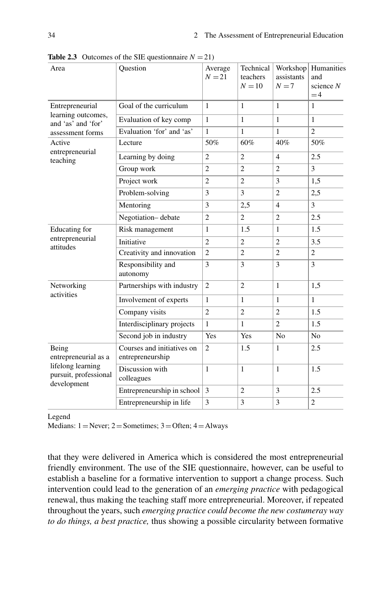<span id="page-17-0"></span>

| Area                                                                                       | Question                                       | Average<br>$N=21$ | Technical<br>teachers<br>$N=10$ | Workshop<br>assistants<br>$N=7$ | Humanities<br>and<br>science $N$<br>$=4$ |
|--------------------------------------------------------------------------------------------|------------------------------------------------|-------------------|---------------------------------|---------------------------------|------------------------------------------|
| Entrepreneurial<br>learning outcomes,<br>and 'as' and 'for'<br>assessment forms            | Goal of the curriculum                         | $\mathbf{1}$      | 1                               | $\mathbf{1}$                    | 1                                        |
|                                                                                            | Evaluation of key comp                         | $\mathbf{1}$      | $\mathbf{1}$                    | $\mathbf{1}$                    | 1                                        |
|                                                                                            | Evaluation 'for' and 'as'                      | $\mathbf{1}$      | 1                               | $\mathbf{1}$                    | $\overline{2}$                           |
| Active<br>entrepreneurial<br>teaching                                                      | Lecture                                        | 50%               | 60%                             | 40%                             | 50%                                      |
|                                                                                            | Learning by doing                              | $\overline{c}$    | $\overline{c}$                  | 4                               | 2.5                                      |
|                                                                                            | Group work                                     | $\overline{2}$    | $\overline{c}$                  | $\overline{c}$                  | 3                                        |
|                                                                                            | Project work                                   | $\overline{2}$    | $\overline{2}$                  | 3                               | 1,5                                      |
|                                                                                            | Problem-solving                                | 3                 | 3                               | $\overline{c}$                  | 2,5                                      |
|                                                                                            | Mentoring                                      | 3                 | 2,5                             | $\overline{4}$                  | 3                                        |
|                                                                                            | Negotiation-debate                             | $\overline{c}$    | $\overline{2}$                  | $\overline{c}$                  | 2.5                                      |
| Educating for<br>entrepreneurial<br>attitudes                                              | Risk management                                | 1                 | 1.5                             | 1                               | 1.5                                      |
|                                                                                            | Initiative                                     | $\overline{2}$    | $\overline{c}$                  | $\overline{2}$                  | 3.5                                      |
|                                                                                            | Creativity and innovation                      | $\overline{2}$    | $\overline{2}$                  | $\overline{2}$                  | 2                                        |
|                                                                                            | Responsibility and<br>autonomy                 | 3                 | 3                               | 3                               | 3                                        |
| Networking<br>activities                                                                   | Partnerships with industry                     | $\overline{2}$    | $\overline{2}$                  | $\mathbf{1}$                    | 1,5                                      |
|                                                                                            | Involvement of experts                         | $\mathbf{1}$      | $\mathbf{1}$                    | $\mathbf{1}$                    | $\mathbf{1}$                             |
|                                                                                            | Company visits                                 | $\overline{c}$    | $\overline{c}$                  | $\overline{2}$                  | 1.5                                      |
|                                                                                            | Interdisciplinary projects                     | $\mathbf{1}$      | $\mathbf{1}$                    | $\overline{c}$                  | 1.5                                      |
|                                                                                            | Second job in industry                         | Yes               | <b>Yes</b>                      | N <sub>o</sub>                  | N <sub>o</sub>                           |
| Being<br>entrepreneurial as a<br>lifelong learning<br>pursuit, professional<br>development | Courses and initiatives on<br>entrepreneurship | $\overline{2}$    | 1.5                             | $\mathbf{1}$                    | 2.5                                      |
|                                                                                            | Discussion with<br>colleagues                  | $\mathbf{1}$      | $\mathbf{1}$                    | $\mathbf{1}$                    | 1.5                                      |
|                                                                                            | Entrepreneurship in school                     | 3                 | $\overline{2}$                  | 3                               | 2.5                                      |
|                                                                                            | Entrepreneurship in life                       | 3                 | 3                               | 3                               | $\overline{2}$                           |

**Table 2.3** Outcomes of the SIE questionnaire  $N = 21$ 

Legend

Medians:  $1 =$  Never;  $2 =$  Sometimes;  $3 =$  Often;  $4 =$  Always

that they were delivered in America which is considered the most entrepreneurial friendly environment. The use of the SIE questionnaire, however, can be useful to establish a baseline for a formative intervention to support a change process. Such intervention could lead to the generation of an *emerging practice* with pedagogical renewal, thus making the teaching staff more entrepreneurial. Moreover, if repeated throughout the years, such *emerging practice could become the new costumeray way to do things, a best practice,* thus showing a possible circularity between formative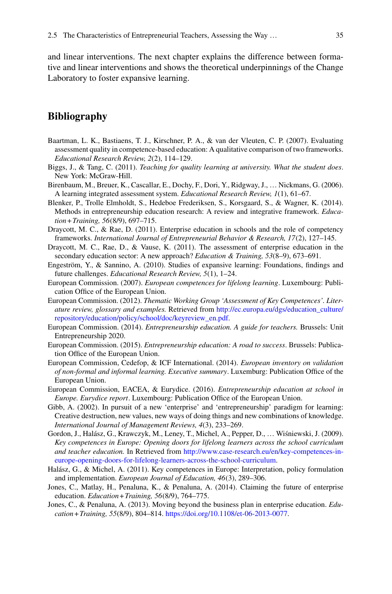and linear interventions. The next chapter explains the difference between formative and linear interventions and shows the theoretical underpinnings of the Change Laboratory to foster expansive learning.

# **Bibliography**

- <span id="page-18-3"></span>Baartman, L. K., Bastiaens, T. J., Kirschner, P. A., & van der Vleuten, C. P. (2007). Evaluating assessment quality in competence-based education: A qualitative comparison of two frameworks. *Educational Research Review, 2*(2), 114–129.
- <span id="page-18-1"></span>Biggs, J., & Tang, C. (2011). *Teaching for quality learning at university. What the student does*. New York: McGraw-Hill.
- <span id="page-18-2"></span>Birenbaum, M., Breuer, K., Cascallar, E., Dochy, F., Dori, Y., Ridgway, J., … Nickmans, G. (2006). A learning integrated assessment system. *Educational Research Review, 1*(1), 61–67.
- <span id="page-18-8"></span>Blenker, P., Trolle Elmholdt, S., Hedeboe Frederiksen, S., Korsgaard, S., & Wagner, K. (2014). Methods in entrepreneurship education research: A review and integrative framework. *Education*+*Training, 56*(8/9), 697–715.
- <span id="page-18-12"></span>Draycott, M. C., & Rae, D. (2011). Enterprise education in schools and the role of competency frameworks. *International Journal of Entrepreneurial Behavior & Research, 17*(2), 127–145.
- <span id="page-18-9"></span>Draycott, M. C., Rae, D., & Vause, K. (2011). The assessment of enterprise education in the secondary education sector: A new approach? *Education & Training, 53*(8–9), 673–691.
- <span id="page-18-17"></span>Engeström, Y., & Sannino, A. (2010). Studies of expansive learning: Foundations, findings and future challenges. *Educational Research Review, 5*(1), 1–24.
- <span id="page-18-6"></span>European Commission. (2007). *European competences for lifelong learning*. Luxembourg: Publication Office of the European Union.
- <span id="page-18-0"></span>European Commission. (2012). *Thematic Working Group 'Assessment of Key Competences'. Literature review, glossary and examples.* Retrieved from http://ec.europa.eu/dgs/education\_culture/ [repository/education/policy/school/doc/keyreview\\_en.pdf.](http://ec.europa.eu/dgs/education_culture/repository/education/policy/school/doc/keyreview_en.pdf)
- <span id="page-18-15"></span>European Commission. (2014). *Entrepreneurship education. A guide for teachers.* Brussels: Unit Entrepreneurship 2020.
- <span id="page-18-10"></span>European Commission. (2015). *Entrepreneurship education: A road to success*. Brussels: Publication Office of the European Union.
- <span id="page-18-7"></span>European Commission, Cedefop, & ICF International. (2014). *European inventory on validation of non-formal and informal learning. Executive summary*. Luxemburg: Publication Office of the European Union.
- <span id="page-18-16"></span>European Commission, EACEA, & Eurydice. (2016). *Entrepreneurship education at school in Europe. Eurydice report*. Luxembourg: Publication Office of the European Union.
- <span id="page-18-11"></span>Gibb, A. (2002). In pursuit of a new 'enterprise' and 'entrepreneurship' paradigm for learning: Creative destruction, new values, new ways of doing things and new combinations of knowledge. *International Journal of Management Reviews, 4*(3), 233–269.
- <span id="page-18-5"></span>Gordon, J., Halász, G., Krawczyk, M., Leney, T., Michel, A., Pepper, D., ... Wiśniewski, J. (2009). *Key competences in Europe: Opening doors for lifelong learners across the school curriculum and teacher education.* In Retrieved from http://www.case-research.eu/en/key-competences-in[europe-opening-doors-for-lifelong-learners-across-the-school-curriculum.](http://www.case-research.eu/en/key-competences-in-europe-opening-doors-for-lifelong-learners-across-the-school-curriculum)
- <span id="page-18-4"></span>Halász, G., & Michel, A. (2011). Key competences in Europe: Interpretation, policy formulation and implementation. *European Journal of Education, 46*(3), 289–306.
- <span id="page-18-14"></span>Jones, C., Matlay, H., Penaluna, K., & Penaluna, A. (2014). Claiming the future of enterprise education. *Education*+*Training, 56*(8/9), 764–775.
- <span id="page-18-13"></span>Jones, C., & Penaluna, A. (2013). Moving beyond the business plan in enterprise education. *Education*+*Training, 55*(8/9), 804–814. [https://doi.org/10.1108/et-06-2013-0077.](https://doi.org/10.1108/et-06-2013-0077)